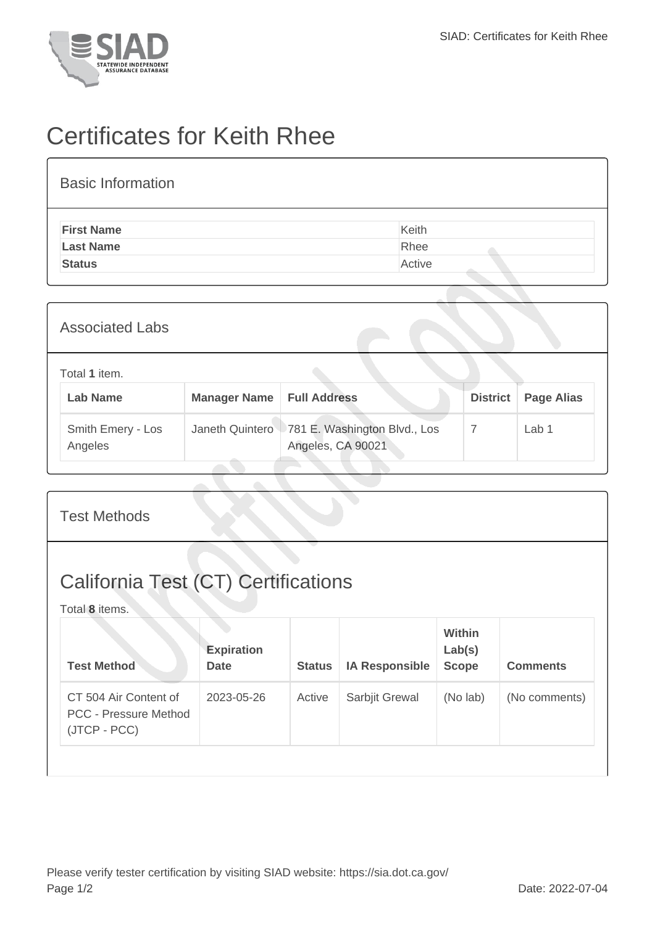

## Certificates for Keith Rhee

| <b>Basic Information</b> |        |
|--------------------------|--------|
| <b>First Name</b>        | Keith  |
| <b>Last Name</b>         | Rhee   |
| <b>Status</b>            | Active |

| <b>Associated Labs</b>           |              |                                                                     |                 |                   |
|----------------------------------|--------------|---------------------------------------------------------------------|-----------------|-------------------|
| Total 1 item.<br><b>Lab Name</b> | Manager Name | <b>Full Address</b>                                                 | <b>District</b> | <b>Page Alias</b> |
| Smith Emery - Los<br>Angeles     |              | Janeth Quintero   781 E. Washington Blvd., Los<br>Angeles, CA 90021 | 7               | Lab <sub>1</sub>  |

|                                                                       | <b>Test Methods</b>              |               |                       |                                         |                 |  |  |
|-----------------------------------------------------------------------|----------------------------------|---------------|-----------------------|-----------------------------------------|-----------------|--|--|
| <b>California Test (CT) Certifications</b><br>Total 8 items.          |                                  |               |                       |                                         |                 |  |  |
| <b>Test Method</b>                                                    | <b>Expiration</b><br><b>Date</b> | <b>Status</b> | <b>IA Responsible</b> | <b>Within</b><br>Lab(s)<br><b>Scope</b> | <b>Comments</b> |  |  |
| CT 504 Air Content of<br><b>PCC - Pressure Method</b><br>(JTCP - PCC) | 2023-05-26                       | Active        | Sarbjit Grewal        | (No lab)                                | (No comments)   |  |  |